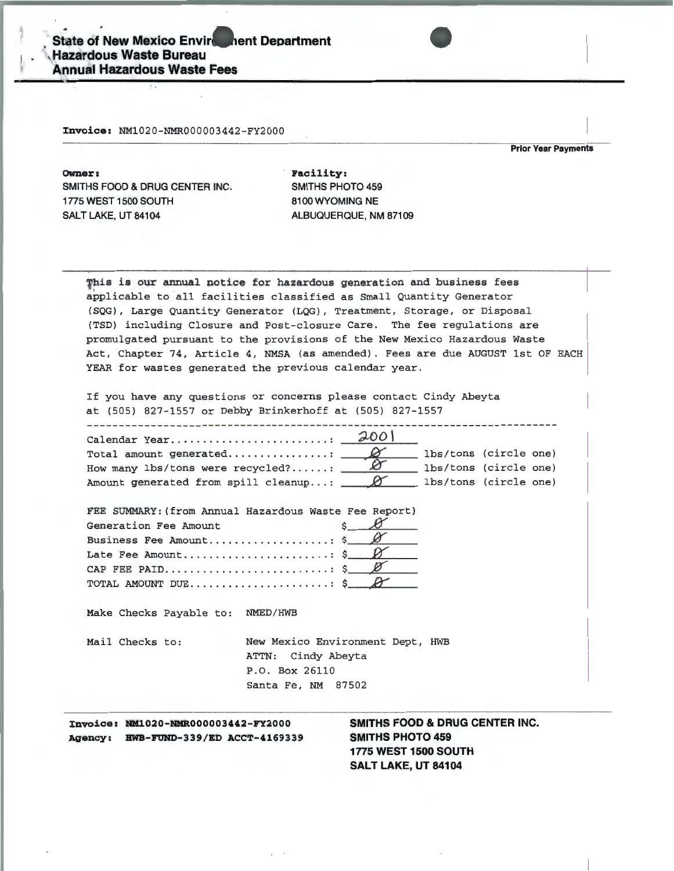Invoice: NM1020-NMR000003442-FY2000

**Prior Year Payments** 

Owner: SMITHS FOOD & DRUG CENTER INC. 1775 WEST 1500 SOUTH SALT LAKE, UT 84104

Facility: SMITHS PHOTO 459 8100 WYOMING NE ALBUQUERQUE, NM 87109

This is our annual notice for hazardous generation and business fees applicable to all facilities classified as Small Quantity Generator (SQG), Large Quantity Generator (LQG), Treatment, Storage, or Disposal (TSD) including Closure and Post-closure Care. The fee regulations are promulgated pursuant to the provisions of the New Mexico Hazardous Waste Act, Chapter 74, Article 4, NMSA (as amended). Fees are due AUGUST 1st OF EACH YEAR for wastes generated the previous calendar year.

If you have any questions or concerns please contact Cindy Abeyta at (505) 827-1557 or Debby Brinkerhoff at (505) 827-1557

|                                                    |  |  | lbs/tons (circle one) |  |  |  |  |
|----------------------------------------------------|--|--|-----------------------|--|--|--|--|
| How many lbs/tons were recycled? $\Box$            |  |  | lbs/tons (circle one) |  |  |  |  |
| Amount generated from spill cleanup: $\Box$ $\Box$ |  |  | lbs/tons (circle one) |  |  |  |  |

| FEE SUMMARY: (from Annual Hazardous Waste Fee Report) |
|-------------------------------------------------------|
| $s$ $\beta$<br>Generation Fee Amount                  |
| Business Fee Amount \$                                |
| Late Fee Amount $\frac{1}{2}$                         |
|                                                       |
|                                                       |

Make Checks Payable to: NMED/HWB

New Mexico Environment Dept, HWB Mail Checks to: ATTN: Cindy Abeyta P.O. Box 26110 Santa Fe, NM 87502

Invoice: NM1020-NMR000003442-FY2000 Agency: HWB-FUND-339/ED ACCT-4169339 SMITHS FOOD & DRUG CENTER INC. **SMITHS PHOTO 459** 1775 WEST 1500 SOUTH SALT LAKE, UT 84104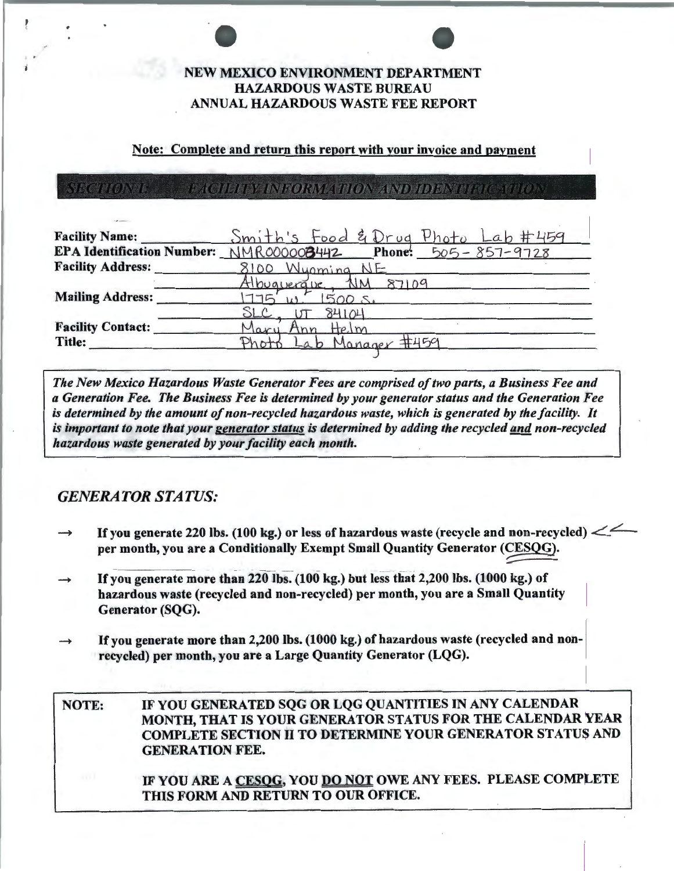## NEW MEXICO ENVIRONMENT DEPARTMENT **HAZARDOUS WASTE BUREAU** ANNUAL HAZARDOUS WASTE FEE REPORT

### Note: Complete and return this report with your invoice and payment

ECTIONS **TACHUE BE INFORMATION AND HOUWIHAL ANTON** 

| <b>Facility Name:</b>    | Smith's Food & Drug Photo Lab #459                          |
|--------------------------|-------------------------------------------------------------|
|                          | EPA Identification Number: NMR000008442 Phone: 505-857-9728 |
| <b>Facility Address:</b> | 8100 Wuoming NE                                             |
|                          | Albuguerave, NM 87109                                       |
| <b>Mailing Address:</b>  | 1775'<br>1500 s.                                            |
|                          | $SLC_{n-1}$<br>UT 84104                                     |
| <b>Facility Contact:</b> | Mary Ann Helm                                               |
| <b>Title:</b>            | Lab Manager #459<br>Photo                                   |
|                          |                                                             |

The New Mexico Hazardous Waste Generator Fees are comprised of two parts, a Business Fee and a Generation Fee. The Business Fee is determined by your generator status and the Generation Fee is determined by the amount of non-recycled hazardous waste, which is generated by the facility. It is important to note that your generator status is determined by adding the recycled and non-recycled hazardous waste generated by your facility each month.

# **GENERATOR STATUS:**

- If you generate 220 lbs. (100 kg.) or less of hazardous waste (recycle and non-recycled)  $\leq$ per month, you are a Conditionally Exempt Small Quantity Generator (CESQG).
- If you generate more than 220 lbs. (100 kg.) but less that 2,200 lbs. (1000 kg.) of hazardous waste (recycled and non-recycled) per month, you are a Small Quantity Generator (SQG).
- If you generate more than 2,200 lbs. (1000 kg.) of hazardous waste (recycled and nonrecycled) per month, you are a Large Quantity Generator (LQG).

IF YOU GENERATED SOG OR LOG QUANTITIES IN ANY CALENDAR NOTE: MONTH, THAT IS YOUR GENERATOR STATUS FOR THE CALENDAR YEAR **COMPLETE SECTION II TO DETERMINE YOUR GENERATOR STATUS AND GENERATION FEE.** IF YOU ARE A CESOG, YOU DO NOT OWE ANY FEES. PLEASE COMPLETE THIS FORM AND RETURN TO OUR OFFICE.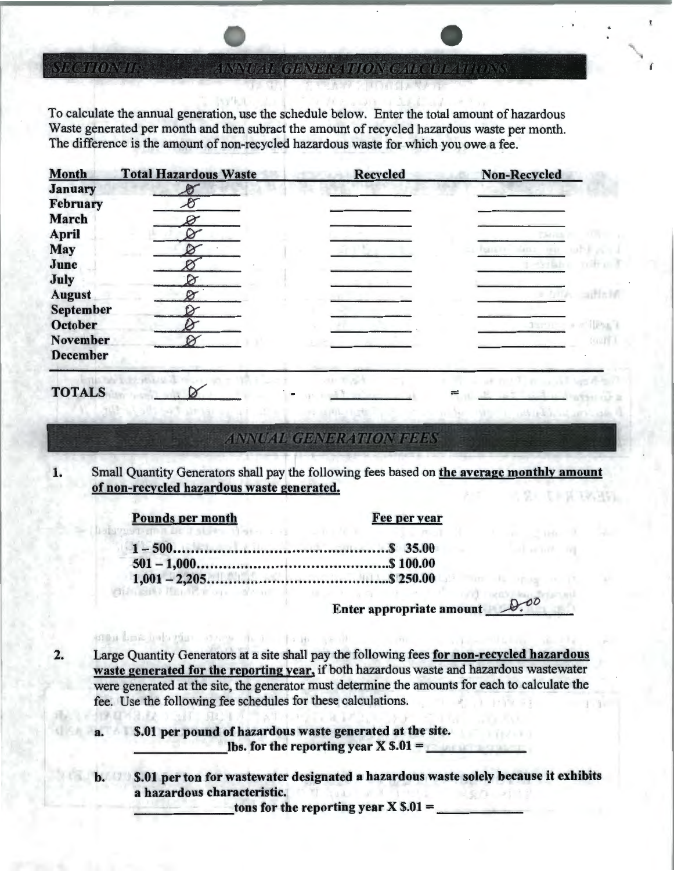WAYOZU CIBINDICATHOING ZHACIOLATHOINS

To calculate the annual generation, use the schedule below. Enter the total amount of hazardous Waste generated per month and then subract the amount of recycled hazardous waste per month. The difference is the amount of non-recycled hazardous waste for which you owe a fee.

| <b>Month</b>     | <b>Total Hazardous Waste</b> | <b>Recycled</b> | <b>Non-Recycled</b> |
|------------------|------------------------------|-----------------|---------------------|
| <b>January</b>   |                              |                 |                     |
| <b>February</b>  |                              |                 |                     |
| <b>March</b>     |                              |                 |                     |
| <b>April</b>     |                              |                 |                     |
| <b>May</b>       |                              |                 |                     |
| June             |                              |                 |                     |
| July             |                              |                 |                     |
| <b>August</b>    |                              |                 |                     |
| <b>September</b> |                              |                 |                     |
| <b>October</b>   |                              |                 |                     |
| November         |                              |                 |                     |
| <b>December</b>  |                              |                 |                     |
|                  |                              |                 |                     |

## TOTALS

**SECTION II:** 

#### ANNUAL GENERATION PEER

1. Small Quantity Generators shall pay the following fees based on the average monthly amount of non-recycled hazardous waste generated. 上诉 199, 30%

|  |  | <b>Pounds per month</b> |  |  |
|--|--|-------------------------|--|--|
|  |  |                         |  |  |

enna bas hab gian stress that the sealt

vai.

Fee per year

Enter appropriate amount

=

**WELL MARKET** 

2. Large Quantity Generators at a site shall pay the following fees for non-recycled hazardous waste generated for the reporting year, if both hazardous waste and hazardous wastewater were generated at the site, the generator must determine the amounts for each to calculate the fee. Use the following fee schedules for these calculations.

a.  $$.01$  per pound of hazardous waste generated at the site.<br>lbs. for the reporting year X  $$.01 =$ 

b. \$.01 per ton for wastewater designated a hazardous waste solely because it exhibits a hazardous characteristic.

tons for the reporting year  $X$  \$.01 =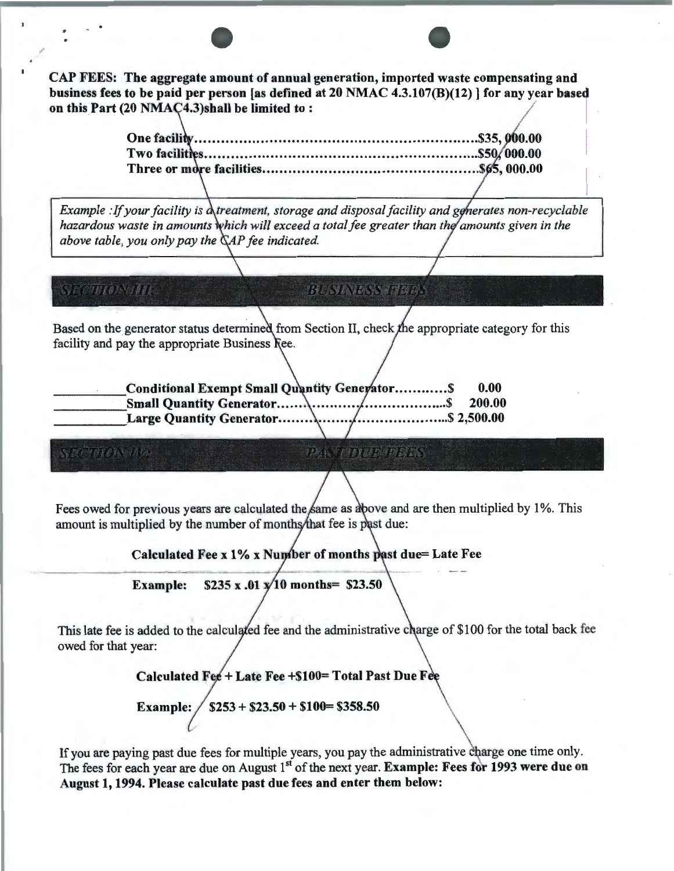CAP FEES: The aggregate amount of annual generation, imported waste compensating and business fees to be paid per person [as defined at 20 NMAC 4.3.107(B)(12) ] for any year based on this Part (20 NMAC4.3)shall be limited to:

/

-•

**One facili** ................................................................ \$35, **Two facilit** s ............................................................**.. \$50 000.00**  *Example : If your facility is*  $\Delta$ *treatment, storage and disposal facility and generates non-recyclable hazardous waste in amounts which will exceed a total fee greater than the amounts given in the above table, you only pay the*  $\mathbb{C}AP$  *fee indicated.* **SECTION III: BUSINESS FREES** Based on the generator status determined from Section II, check the appropriate category for this facility and pay the appropriate Business Ree. Conditional Exempt Small Quantity Generator............. \$ 0.00 200.00 THOMAN PANTOLIC PERS Fees owed for previous years are calculated the same as above and are then multiplied by 1%. This amount is multiplied by the number of months that fee is past due: Calculated Fee x  $1\%$  x Number of months past due= Late Fee Example:  $$235 \times .01 \times 10 \text{ months} = $23.50$ This late fee is added to the calculated fee and the administrative charge of \$100 for the total back fee owed for that year:  $Calculated \tFee + Late \tFee + $100= Total \tPast Due \tFee$ Example:  $/$  \$253 + \$23.50 + \$100= \$358.50

If you are paying past due fees for multiple years, you pay the administrative charge one time only. The fees for each year are due on August 1<sup>st</sup> of the next year. Example: Fees for 1993 were due on August 1, 1994. Please calculate past due fees and enter them below: